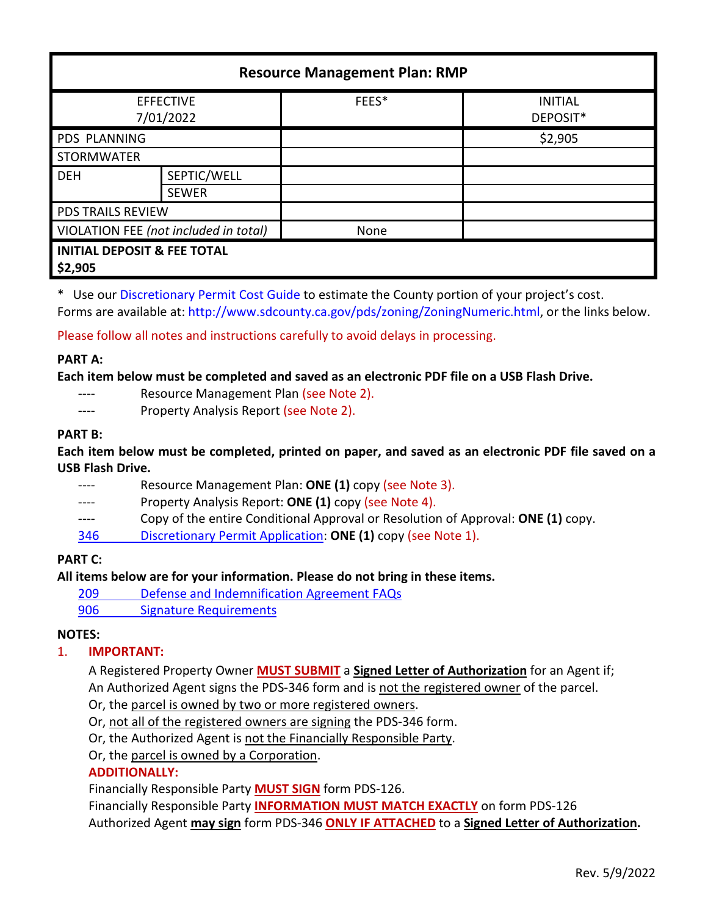| <b>Resource Management Plan: RMP</b>              |                             |       |                            |
|---------------------------------------------------|-----------------------------|-------|----------------------------|
| <b>EFFECTIVE</b><br>7/01/2022                     |                             | FEES* | <b>INITIAL</b><br>DEPOSIT* |
| <b>PDS PLANNING</b>                               |                             |       | \$2,905                    |
| <b>STORMWATER</b>                                 |                             |       |                            |
| <b>DEH</b>                                        | SEPTIC/WELL<br><b>SEWER</b> |       |                            |
| <b>PDS TRAILS REVIEW</b>                          |                             |       |                            |
| VIOLATION FEE (not included in total)             |                             | None  |                            |
| <b>INITIAL DEPOSIT &amp; FEE TOTAL</b><br>\$2,905 |                             |       |                            |

\* Use ou[r Discretionary Permit Cost Guide](http://www.sandiegocounty.gov/content/dam/sdc/pds/docs/Discretionary_Permit_Cost_Guide.xlsx) to estimate the County portion of your project's cost. Forms are available at[: http://www.sdcounty.ca.gov/pds/zoning/ZoningNumeric.html,](http://www.sdcounty.ca.gov/pds/zoning/ZoningNumeric.html) or the links below.

Please follow all notes and instructions carefully to avoid delays in processing.

## **PART A:**

**Each item below must be completed and saved as an electronic PDF file on a USB Flash Drive.**

- ---- Resource Management Plan (see Note 2).
- ---- Property Analysis Report (see Note 2).

## **PART B:**

**Each item below must be completed, printed on paper, and saved as an electronic PDF file saved on a USB Flash Drive.**

---- Resource Management Plan: **ONE (1)** copy (see Note 3). ---- Property Analysis Report: **ONE (1)** copy (see Note 4). ---- Copy of the entire Conditional Approval or Resolution of Approval: **ONE (1)** copy. 346 [Discretionary Permit Application:](http://www.sdcounty.ca.gov/pds/zoning/formfields/PDS-PLN-346.pdf) **ONE (1)** copy (see Note 1).

## **PART C:**

## **All items below are for your information. Please do not bring in these items.**

- 209 [Defense and Indemnification](http://www.sdcounty.ca.gov/pds/zoning/formfields/PDS-PLN-209.pdf) Agreement FAQs
- [906 Signature Requirements](http://www.sdcounty.ca.gov/pds/zoning/formfields/PDS-PLN-906.pdf)

## **NOTES:**

## 1. **IMPORTANT:**

A Registered Property Owner **MUST SUBMIT** a **Signed Letter of Authorization** for an Agent if; An Authorized Agent signs the PDS-346 form and is not the registered owner of the parcel.

- Or, the parcel is owned by two or more registered owners.
- Or, not all of the registered owners are signing the PDS-346 form.

Or, the Authorized Agent is not the Financially Responsible Party.

Or, the parcel is owned by a Corporation.

# **ADDITIONALLY:**

Financially Responsible Party **MUST SIGN** form PDS-126.

Financially Responsible Party **INFORMATION MUST MATCH EXACTLY** on form PDS-126 Authorized Agent **may sign** form PDS-346 **ONLY IF ATTACHED** to a **Signed Letter of Authorization.**